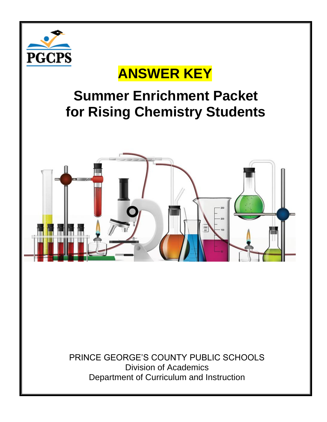

## **ANSWER KEY**

## **Summer Enrichment Packet for Rising Chemistry Students**



PRINCE GEORGE'S COUNTY PUBLIC SCHOOLS Division of Academics Department of Curriculum and Instruction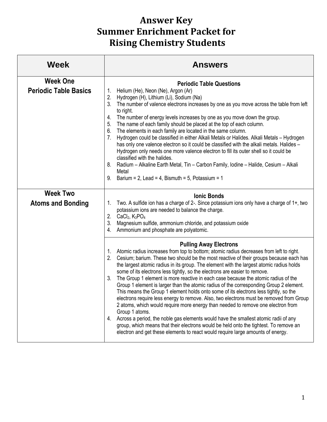## **Answer Key Summer Enrichment Packet for Rising Chemistry Students**

| <b>Week</b>                                     | <b>Answers</b>                                                                                                                                                                                                                                                                                                                                                                                                                                                                                                                                                                                                                                                                                                                                                                                                                                                                                                                                                                                                                                                                                                                                             |
|-------------------------------------------------|------------------------------------------------------------------------------------------------------------------------------------------------------------------------------------------------------------------------------------------------------------------------------------------------------------------------------------------------------------------------------------------------------------------------------------------------------------------------------------------------------------------------------------------------------------------------------------------------------------------------------------------------------------------------------------------------------------------------------------------------------------------------------------------------------------------------------------------------------------------------------------------------------------------------------------------------------------------------------------------------------------------------------------------------------------------------------------------------------------------------------------------------------------|
| <b>Week One</b><br><b>Periodic Table Basics</b> | <b>Periodic Table Questions</b><br>Helium (He), Neon (Ne), Argon (Ar)<br>1.<br>2.<br>Hydrogen (H), Lithium (Li), Sodium (Na)<br>3.<br>The number of valence electrons increases by one as you move across the table from left<br>to right.<br>The number of energy levels increases by one as you move down the group.<br>4.<br>The name of each family should be placed at the top of each column.<br>5.<br>The elements in each family are located in the same column.<br>6.<br>Hydrogen could be classified in either Alkali Metals or Halides. Alkali Metals - Hydrogen<br>7.<br>has only one valence electron so it could be classified with the alkali metals. Halides -<br>Hydrogen only needs one more valence electron to fill its outer shell so it could be<br>classified with the halides.<br>Radium - Alkaline Earth Metal, Tin - Carbon Family, Iodine - Halide, Cesium - Alkali<br>8.<br>Metal<br>Barium = 2, Lead = 4, Bismuth = 5, Potassium = 1<br>9.                                                                                                                                                                                    |
| <b>Week Two</b><br><b>Atoms and Bonding</b>     | <b>Ionic Bonds</b><br>Two. A sulfide ion has a charge of 2-. Since potassium ions only have a charge of 1+, two<br>1.<br>potassium ions are needed to balance the charge.<br>CaCl <sub>2</sub> , K <sub>3</sub> PO <sub>4</sub><br>2.<br>3.<br>Magnesium sulfide, ammonium chloride, and potassium oxide<br>Ammonium and phosphate are polyatomic.<br>4.                                                                                                                                                                                                                                                                                                                                                                                                                                                                                                                                                                                                                                                                                                                                                                                                   |
|                                                 | <b>Pulling Away Electrons</b><br>Atomic radius increases from top to bottom; atomic radius decreases from left to right.<br>1.<br>Cesium; barium. These two should be the most reactive of their groups because each has<br>the largest atomic radius in its group. The element with the largest atomic radius holds<br>some of its electrons less tightly, so the electrons are easier to remove.<br>The Group 1 element is more reactive in each case because the atomic radius of the<br>3.<br>Group 1 element is larger than the atomic radius of the corresponding Group 2 element.<br>This means the Group 1 element holds onto some of its electrons less tightly, so the<br>electrons require less energy to remove. Also, two electrons must be removed from Group<br>2 atoms, which would require more energy than needed to remove one electron from<br>Group 1 atoms.<br>Across a period, the noble gas elements would have the smallest atomic radii of any<br>4.<br>group, which means that their electrons would be held onto the tightest. To remove an<br>electron and get these elements to react would require large amounts of energy. |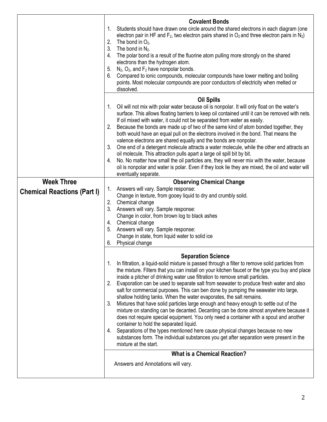|                                    | <b>Covalent Bonds</b>                                                                                                                                                                                           |
|------------------------------------|-----------------------------------------------------------------------------------------------------------------------------------------------------------------------------------------------------------------|
|                                    | Students should have drawn one circle around the shared electrons in each diagram (one<br>$1_{\cdot}$<br>electron pair in HF and $F_2$ , two electron pairs shared in $O_2$ and three electron pairs in $N_2$ ) |
|                                    | The bond in $O_2$ .<br>2.                                                                                                                                                                                       |
|                                    | 3. The bond in $N_2$ .                                                                                                                                                                                          |
|                                    | The polar bond is a result of the fluorine atom pulling more strongly on the shared<br>4.<br>electrons than the hydrogen atom.                                                                                  |
|                                    | $N_2$ , $O_2$ , and $F_2$ have nonpolar bonds.<br>5.                                                                                                                                                            |
|                                    | Compared to ionic compounds, molecular compounds have lower melting and boiling<br>6.                                                                                                                           |
|                                    | points. Most molecular compounds are poor conductors of electricity when melted or                                                                                                                              |
|                                    | dissolved.                                                                                                                                                                                                      |
|                                    | <b>Oil Spills</b>                                                                                                                                                                                               |
|                                    | Oil will not mix with polar water because oil is nonpolar. It will only float on the water's<br>1.<br>surface. This allows floating barriers to keep oil contained until it can be removed with nets.           |
|                                    | If oil mixed with water, it could not be separated from water as easily.                                                                                                                                        |
|                                    | Because the bonds are made up of two of the same kind of atom bonded together, they<br>2.                                                                                                                       |
|                                    | both would have an equal pull on the electrons involved in the bond. That means the                                                                                                                             |
|                                    | valence electrons are shared equally and the bonds are nonpolar.<br>3. One end of a detergent molecule attracts a water molecule, while the other end attracts an                                               |
|                                    | oil molecule. This attraction pulls apart a large oil spill bit by bit.                                                                                                                                         |
|                                    | No. No matter how small the oil particles are, they will never mix with the water, because<br>4.                                                                                                                |
|                                    | oil is nonpolar and water is polar. Even if they look lie they are mixed, the oil and water will                                                                                                                |
|                                    | eventually separate.                                                                                                                                                                                            |
| <b>Week Three</b>                  | <b>Observing Chemical Change</b><br>Answers will vary. Sample response:<br>1.                                                                                                                                   |
| <b>Chemical Reactions (Part I)</b> | Change in texture, from gooey liquid to dry and crumbly solid.                                                                                                                                                  |
|                                    | 2. Chemical change                                                                                                                                                                                              |
|                                    | 3. Answers will vary. Sample response:<br>Change in color, from brown log to black ashes                                                                                                                        |
|                                    | Chemical change<br>4.                                                                                                                                                                                           |
|                                    | 5. Answers will vary. Sample response:                                                                                                                                                                          |
|                                    | Change in state, from liquid water to solid ice                                                                                                                                                                 |
|                                    | Physical change<br>6.                                                                                                                                                                                           |
|                                    | <b>Separation Science</b>                                                                                                                                                                                       |
|                                    | In filtration, a liquid-solid mixture is passed through a filter to remove solid particles from<br>1.                                                                                                           |
|                                    | the mixture. Filters that you can install on your kitchen faucet or the type you buy and place                                                                                                                  |
|                                    | inside a pitcher of drinking water use filtration to remove small particles.<br>2.<br>Evaporation can be used to separate salt from seawater to produce fresh water and also                                    |
|                                    | salt for commercial purposes. This can ben done by pumping the seawater into large,                                                                                                                             |
|                                    | shallow holding tanks. When the water evaporates, the salt remains.                                                                                                                                             |
|                                    | Mixtures that have solid particles large enough and heavy enough to settle out of the<br>3.                                                                                                                     |
|                                    | mixture on standing can be decanted. Decanting can be done almost anywhere because it<br>does not require special equipment. You only need a container with a spout and another                                 |
|                                    | container to hold the separated liquid.                                                                                                                                                                         |
|                                    | 4. Separations of the types mentioned here cause physical changes because no new                                                                                                                                |
|                                    | substances form. The individual substances you get after separation were present in the<br>mixture at the start.                                                                                                |
|                                    | <b>What is a Chemical Reaction?</b>                                                                                                                                                                             |
|                                    | Answers and Annotations will vary.                                                                                                                                                                              |
|                                    |                                                                                                                                                                                                                 |
|                                    |                                                                                                                                                                                                                 |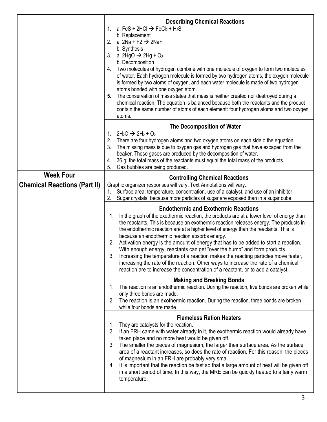|                                                         | <b>Describing Chemical Reactions</b><br>1. a. FeS + 2HCl $\rightarrow$ FeCl <sub>2</sub> + H <sub>2</sub> S<br>b. Replacement<br>2. a. $2Na + F2 \rightarrow 2NaF$<br>b. Synthesis<br>a. 2HgO $\rightarrow$ 2Hg + O <sub>2</sub><br>3.<br>b. Decomposition<br>Two molecules of hydrogen combine with one molecule of oxygen to form two molecules<br>4.<br>of water. Each hydrogen molecule is formed by two hydrogen atoms, the oxygen molecule<br>is formed by two atoms of oxygen, and each water molecule is made of two hydrogen<br>atoms bonded with one oxygen atom.<br>The conservation of mass states that mass is neither created nor destroyed during a<br>5.<br>chemical reaction. The equation is balanced because both the reactants and the product<br>contain the same number of atoms of each element: four hydrogen atoms and two oxygen<br>atoms. |
|---------------------------------------------------------|----------------------------------------------------------------------------------------------------------------------------------------------------------------------------------------------------------------------------------------------------------------------------------------------------------------------------------------------------------------------------------------------------------------------------------------------------------------------------------------------------------------------------------------------------------------------------------------------------------------------------------------------------------------------------------------------------------------------------------------------------------------------------------------------------------------------------------------------------------------------|
|                                                         | The Decomposition of Water<br>$2H_2O \rightarrow 2H_2 + O_2$<br>1.<br>2.<br>There are four hydrogen atoms and two oxygen atoms on each side o the equation.<br>3.<br>The missing mass is due to oxygen gas and hydrogen gas that have escaped from the<br>beaker. These gases are produced by the decomposition of water.<br>36 g; the total mass of the reactants must equal the total mass of the products.<br>4.<br>5.<br>Gas bubbles are being produced.                                                                                                                                                                                                                                                                                                                                                                                                         |
| <b>Week Four</b><br><b>Chemical Reactions (Part II)</b> | <b>Controlling Chemical Reactions</b><br>Graphic organizer responses will vary. Text Annotations will vary.<br>Surface area, temperature, concentration, use of a catalyst, and use of an inhibitor<br>1.<br>Sugar crystals, because more particles of sugar are exposed than in a sugar cube.<br>2.                                                                                                                                                                                                                                                                                                                                                                                                                                                                                                                                                                 |
|                                                         | <b>Endothermic and Exothermic Reactions</b><br>In the graph of the exothermic reaction, the products are at a lower level of energy than<br>1.<br>the reactants. This is because an exothermic reaction releases energy. The products in<br>the endothermic reaction are at a higher level of energy than the reactants. This is<br>because an endothermic reaction absorbs energy.<br>Activation energy is the amount of energy that has to be added to start a reaction.<br>2.<br>With enough energy, reactants can get "over the hump" and form products.<br>3.<br>Increasing the temperature of a reaction makes the reacting particles move faster,<br>increasing the rate of the reaction. Other ways to increase the rate of a chemical<br>reaction are to increase the concentration of a reactant, or to add a catalyst.                                    |
|                                                         | <b>Making and Breaking Bonds</b><br>The reaction is an endothermic reaction. During the reaction, five bonds are broken while<br>1.<br>only three bonds are made.<br>The reaction is an exothermic reaction. During the reaction, three bonds are broken<br>2.<br>while four bonds are made.                                                                                                                                                                                                                                                                                                                                                                                                                                                                                                                                                                         |
|                                                         | <b>Flameless Ration Heaters</b><br>They are catalysts for the reaction.<br>1.<br>If an FRH came with water already in it, the exothermic reaction would already have<br>2.<br>taken place and no more heat would be given off.<br>The smaller the pieces of magnesium, the larger their surface area. As the surface<br>3.<br>area of a reactant increases, so does the rate of reaction. For this reason, the pieces<br>of magnesium in an FRH are probably very small.<br>It is important that the reaction be fast so that a large amount of heat will be given off<br>4.<br>in a short period of time. In this way, the MRE can be quickly heated to a fairly warm<br>temperature.                                                                                                                                                                               |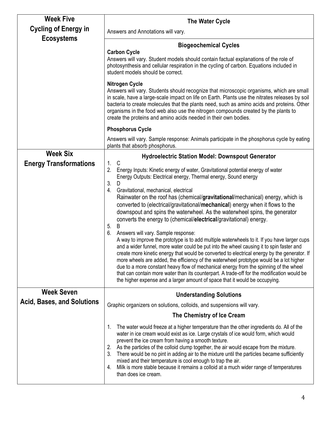| <b>Week Five</b>                  | The Water Cycle                                                                                                                                                                                                                                                                                                                                                                                                                                                                                                                                                                                                                                                                                                                                                                                                                                                                                                                                                                                                                                                                                                                                                                                                                                                             |
|-----------------------------------|-----------------------------------------------------------------------------------------------------------------------------------------------------------------------------------------------------------------------------------------------------------------------------------------------------------------------------------------------------------------------------------------------------------------------------------------------------------------------------------------------------------------------------------------------------------------------------------------------------------------------------------------------------------------------------------------------------------------------------------------------------------------------------------------------------------------------------------------------------------------------------------------------------------------------------------------------------------------------------------------------------------------------------------------------------------------------------------------------------------------------------------------------------------------------------------------------------------------------------------------------------------------------------|
| <b>Cycling of Energy in</b>       | Answers and Annotations will vary.                                                                                                                                                                                                                                                                                                                                                                                                                                                                                                                                                                                                                                                                                                                                                                                                                                                                                                                                                                                                                                                                                                                                                                                                                                          |
| <b>Ecosystems</b>                 | <b>Biogeochemical Cycles</b><br><b>Carbon Cycle</b><br>Answers will vary. Student models should contain factual explanations of the role of<br>photosynthesis and cellular respiration in the cycling of carbon. Equations included in<br>student models should be correct.                                                                                                                                                                                                                                                                                                                                                                                                                                                                                                                                                                                                                                                                                                                                                                                                                                                                                                                                                                                                 |
|                                   | <b>Nitrogen Cycle</b><br>Answers will vary. Students should recognize that microscopic organisms, which are small<br>in scale, have a large-scale impact on life on Earth. Plants use the nitrates releases by soil<br>bacteria to create molecules that the plants need, such as amino acids and proteins. Other<br>organisms in the food web also use the nitrogen compounds created by the plants to<br>create the proteins and amino acids needed in their own bodies.                                                                                                                                                                                                                                                                                                                                                                                                                                                                                                                                                                                                                                                                                                                                                                                                  |
|                                   | <b>Phosphorus Cycle</b>                                                                                                                                                                                                                                                                                                                                                                                                                                                                                                                                                                                                                                                                                                                                                                                                                                                                                                                                                                                                                                                                                                                                                                                                                                                     |
|                                   | Answers will vary. Sample response: Animals participate in the phosphorus cycle by eating<br>plants that absorb phosphorus.                                                                                                                                                                                                                                                                                                                                                                                                                                                                                                                                                                                                                                                                                                                                                                                                                                                                                                                                                                                                                                                                                                                                                 |
| <b>Week Six</b>                   | <b>Hydroelectric Station Model: Downspout Generator</b>                                                                                                                                                                                                                                                                                                                                                                                                                                                                                                                                                                                                                                                                                                                                                                                                                                                                                                                                                                                                                                                                                                                                                                                                                     |
| <b>Energy Transformations</b>     | 1.<br>C<br>2.<br>Energy Inputs: Kinetic energy of water, Gravitational potential energy of water<br>Energy Outputs: Electrical energy, Thermal energy, Sound energy<br>3.<br>D<br>Gravitational, mechanical, electrical<br>4.<br>Rainwater on the roof has (chemical/gravitational/mechanical) energy, which is<br>converted to (electrical/gravitational/mechanical) energy when it flows to the<br>downspout and spins the waterwheel. As the waterwheel spins, the generator<br>converts the energy to (chemical/electrical/gravitational) energy.<br>5.<br>B<br>Answers will vary. Sample response:<br>6.<br>A way to improve the prototype is to add multiple waterwheels to it. If you have larger cups<br>and a wider funnel, more water could be put into the wheel causing it to spin faster and<br>create more kinetic energy that would be converted to electrical energy by the generator. If<br>more wheels are added, the efficiency of the waterwheel prototype would be a lot higher<br>due to a more constant heavy flow of mechanical energy from the spinning of the wheel<br>that can contain more water than its counterpart. A trade-off for the modification would be<br>the higher expense and a larger amount of space that it would be occupying. |
| <b>Week Seven</b>                 | <b>Understanding Solutions</b>                                                                                                                                                                                                                                                                                                                                                                                                                                                                                                                                                                                                                                                                                                                                                                                                                                                                                                                                                                                                                                                                                                                                                                                                                                              |
| <b>Acid, Bases, and Solutions</b> | Graphic organizers on solutions, colloids, and suspensions will vary.                                                                                                                                                                                                                                                                                                                                                                                                                                                                                                                                                                                                                                                                                                                                                                                                                                                                                                                                                                                                                                                                                                                                                                                                       |
|                                   | The Chemistry of Ice Cream                                                                                                                                                                                                                                                                                                                                                                                                                                                                                                                                                                                                                                                                                                                                                                                                                                                                                                                                                                                                                                                                                                                                                                                                                                                  |
|                                   | The water would freeze at a higher temperature than the other ingredients do. All of the<br>1.<br>water in ice cream would exist as ice. Large crystals of ice would form, which would<br>prevent the ice cream from having a smooth texture.<br>As the particles of the colloid clump together, the air would escape from the mixture.<br>2.<br>There would be no pint in adding air to the mixture until the particles became sufficiently<br>3.<br>mixed and their temperature is cool enough to trap the air.<br>Milk is more stable because it remains a colloid at a much wider range of temperatures<br>4.<br>than does ice cream.                                                                                                                                                                                                                                                                                                                                                                                                                                                                                                                                                                                                                                   |